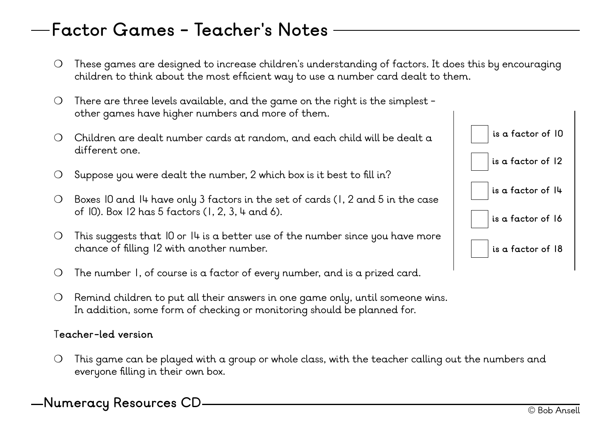### **Factor Games - Teacher's Notes**

- ❍ These games are designed to increase children's understanding of factors. It does this by encouraging children to think about the most efficient way to use a number card dealt to them.
- ❍ There are three levels available, and the game on the right is the simplest other games have higher numbers and more of them.
- ❍ Children are dealt number cards at random, and each child will be dealt a different one.
- $\bigcirc$  Suppose you were dealt the number, 2 which box is it best to fill in?
- ❍ Boxes 10 and 14 have only 3 factors in the set of cards (1, 2 and 5 in the case of 10). Box 12 has 5 factors (1, 2, 3, 4 and 6).
- $\bigcirc$  This suggests that 10 or 14 is a better use of the number since you have more chance of filling 12 with another number.
- ❍ The number 1, of course is a factor of every number, and is a prized card.
- ❍ Remind children to put all their answers in one game only, until someone wins. In addition, some form of checking or monitoring should be planned for.

#### T**eacher-led version**

❍ This game can be played with a group or whole class, with the teacher calling out the numbers and everyone filling in their own box.

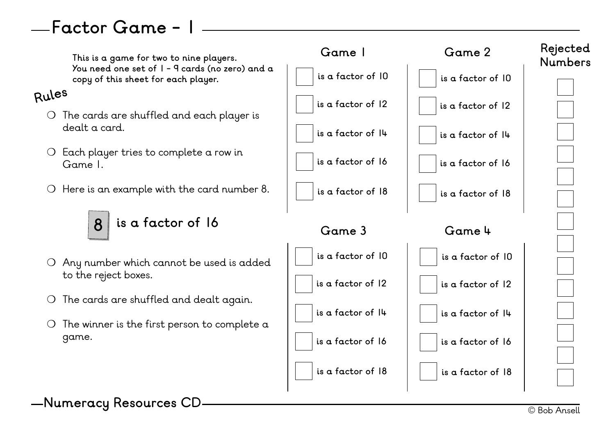## **Factor Game - 1**

**This is a game for two to nine players. You need one set of 1 - 9 cards (no zero) and a copy of this sheet for each player.** ❍ The cards are shuffled and each player is dealt a card. ❍ Each player tries to complete a row in Game 1. ❍ Here is an example with the card number 8. ❍ Any number which cannot be used is added to the reject boxes. ❍ The cards are shuffled and dealt again.  $\overline{O}$  The winner is the first person to complete a game. **is a factor of 18 is a factor of 16 is a factor of 14 is a factor of 12 is a factor of 10 Rejected Numbers 8 is a factor of 16 Game 1 is a factor of 18 is a factor of 16 is a factor of 14 is a factor of 12 is a factor of 10 Game 2 is a factor of 18 is a factor of 16 is a factor of 14 is a factor of 12 is a factor of 10 Game 3 is a factor of 18 is a factor of 16 is a factor of 14 is a factor of 12 is a factor of 10 Game 4 Rules**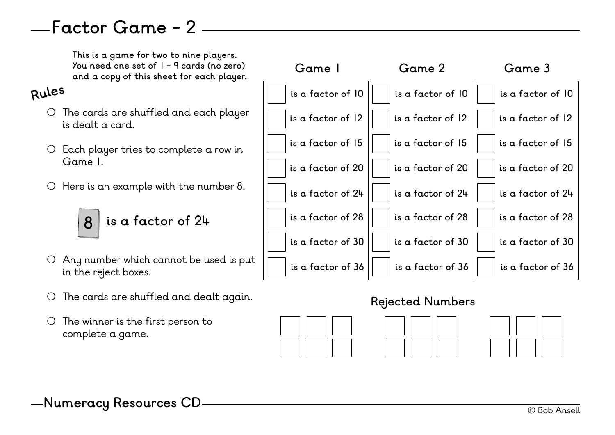### **Factor Game - 2**

**This is a game for two to nine players. You need one set of 1 - 9 cards (no zero) and a copy of this sheet for each player.**

#### **Rules**

- ❍ The cards are shuffled and each player is dealt a card.
- ❍ Each player tries to complete a row in Game 1.
- ❍ Here is an example with the number 8.



- ❍ Any number which cannot be used is put in the reject boxes.
- ❍ The cards are shuffled and dealt again.
- ❍ The winner is the first person to complete a game.



#### **Rejected Numbers**